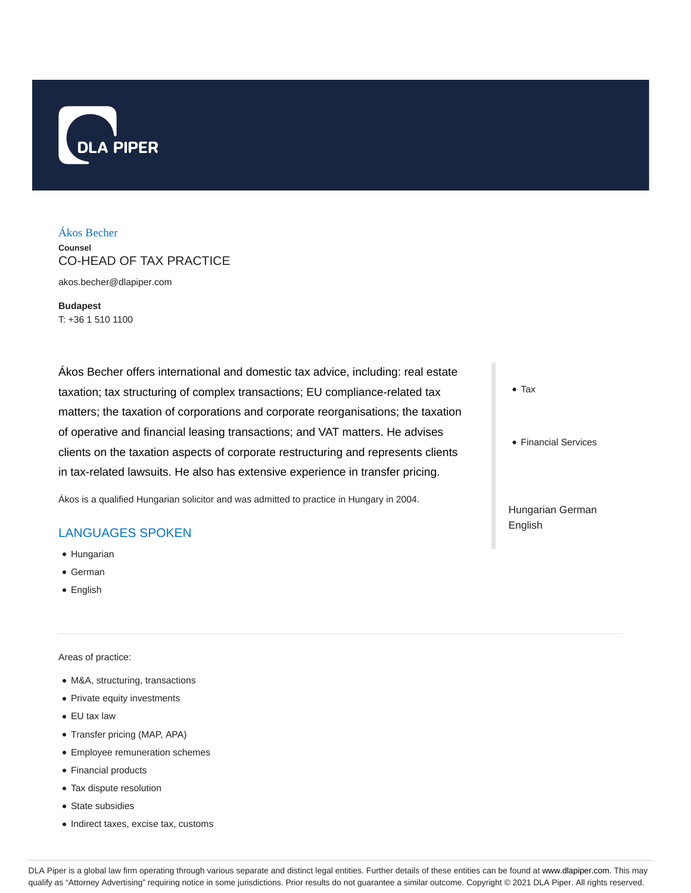

## Ákos Becher

**Counsel** CO-HEAD OF TAX PRACTICE

akos.becher@dlapiper.com

**Budapest** T: +36 1 510 1100

Ákos Becher offers international and domestic tax advice, including: real estate taxation; tax structuring of complex transactions; EU compliance-related tax matters; the taxation of corporations and corporate reorganisations; the taxation of operative and financial leasing transactions; and VAT matters. He advises clients on the taxation aspects of corporate restructuring and represents clients in tax-related lawsuits. He also has extensive experience in transfer pricing.

Ákos is a qualified Hungarian solicitor and was admitted to practice in Hungary in 2004.

# LANGUAGES SPOKEN

- Hungarian
- German
- English

Areas of practice:

- M&A, structuring, transactions
- Private equity investments
- EU tax law
- Transfer pricing (MAP, APA)
- Employee remuneration schemes
- Financial products
- Tax dispute resolution
- State subsidies
- Indirect taxes, excise tax, customs
- Tax
- Financial Services

Hungarian German English